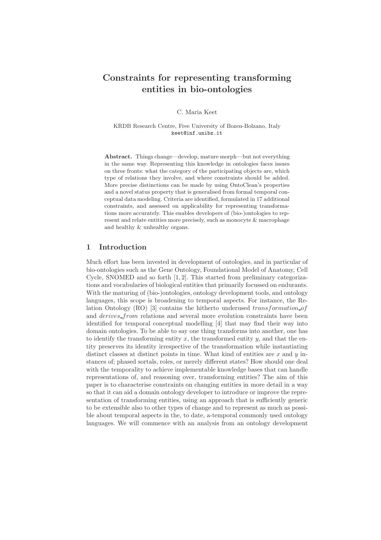# Constraints for representing transforming entities in bio-ontologies

C. Maria Keet

KRDB Research Centre, Free University of Bozen-Bolzano, Italy keet@inf.unibz.it

Abstract. Things change—develop, mature morph—but not everything in the same way. Representing this knowledge in ontologies faces issues on three fronts: what the category of the participating objects are, which type of relations they involve, and where constraints should be added. More precise distinctions can be made by using OntoClean's properties and a novel status property that is generalised from formal temporal conceptual data modeling. Criteria are identified, formulated in 17 additional constraints, and assessed on applicability for representing transformations more accurately. This enables developers of (bio-)ontologies to represent and relate entities more precisely, such as monocyte & macrophage and healthy & unhealthy organs.

## 1 Introduction

Much effort has been invested in development of ontologies, and in particular of bio-ontologies such as the Gene Ontology, Foundational Model of Anatomy, Cell Cycle, SNOMED and so forth  $[1, 2]$ . This started from preliminary categorizations and vocabularies of biological entities that primarily focussed on endurants. With the maturing of (bio-)ontologies, ontology development tools, and ontology languages, this scope is broadening to temporal aspects. For instance, the Relation Ontology (RO) [3] contains the hitherto underused transformation of and derives from relations and several more evolution constraints have been identified for temporal conceptual modelling [4] that may find their way into domain ontologies. To be able to say one thing transforms into another, one has to identify the transforming entity  $x$ , the transformed entity  $y$ , and that the entity preserves its identity irrespective of the transformation while instantiating distinct classes at distinct points in time. What kind of entities are  $x$  and  $y$  instances of; phased sortals, roles, or merely different states? How should one deal with the temporality to achieve implementable knowledge bases that can handle representations of, and reasoning over, transforming entities? The aim of this paper is to characterise constraints on changing entities in more detail in a way so that it can aid a domain ontology developer to introduce or improve the representation of transforming entities, using an approach that is sufficiently generic to be extensible also to other types of change and to represent as much as possible about temporal aspects in the, to date, a-temporal commonly used ontology languages. We will commence with an analysis from an ontology development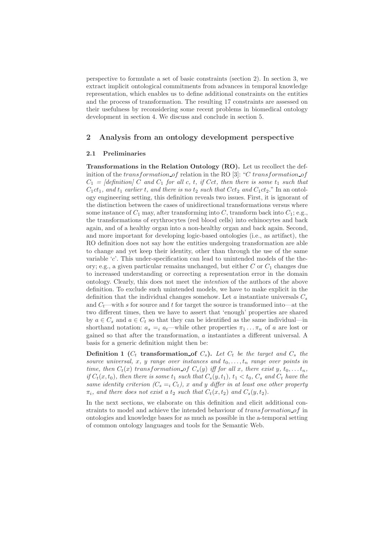perspective to formulate a set of basic constraints (section 2). In section 3, we extract implicit ontological commitments from advances in temporal knowledge representation, which enables us to define additional constraints on the entities and the process of transformation. The resulting 17 constraints are assessed on their usefulness by reconsidering some recent problems in biomedical ontology development in section 4. We discuss and conclude in section 5.

# 2 Analysis from an ontology development perspective

#### 2.1 Preliminaries

Transformations in the Relation Ontology (RO). Let us recollect the definition of the transformation of relation in the RO [3]: "C transformation of  $C_1 = [definition] C$  *and*  $C_1$  *for all c, t, if*  $Cct$ *, then there is some*  $t_1$  *such that*  $C_1ct_1$ *, and*  $t_1$  *earlier*  $t$ *, and there is no*  $t_2$  *such that*  $Cct_2$  *and*  $C_1ct_2$ ." In an ontology engineering setting, this definition reveals two issues. First, it is ignorant of the distinction between the cases of unidirectional transformations versus where some instance of  $C_1$  may, after transforming into C, transform back into  $C_1$ ; e.g., the transformations of erythrocytes (red blood cells) into echinocytes and back again, and of a healthy organ into a non-healthy organ and back again. Second, and more important for developing logic-based ontologies (i.e., as artifact), the RO definition does not say how the entities undergoing transformation are able to change and yet keep their identity, other than through the use of the same variable 'c'. This under-specification can lead to unintended models of the theory; e.g., a given particular remains unchanged, but either  $C$  or  $C_1$  changes due to increased understanding or correcting a representation error in the domain ontology. Clearly, this does not meet the *intention* of the authors of the above definition. To exclude such unintended models, we have to make explicit in the definition that the individual changes somehow. Let  $a$  instantiate universals  $C_s$ and  $C_t$ —with s for source and t for target the source is transformed into—at the two different times, then we have to assert that 'enough' properties are shared by  $a \in C_s$  and  $a \in C_t$  so that they can be identified as the same individual—in shorthand notation:  $a_s =i a_t$ —while other properties  $\pi_1 \dots \pi_n$  of a are lost or gained so that after the transformation, a instantiates a different universal. A basis for a generic definition might then be:

**Definition 1** ( $C_t$  **transformation of**  $C_s$ ). Let  $C_t$  be the target and  $C_s$  the *source universal, x, y range over instances and*  $t_0, \ldots, t_n$  *range over points in time, then*  $C_t(x)$  *transformation\_of*  $C_s(y)$  *iff for all* x*, there exist* y,  $t_0, \ldots, t_n$ *, if*  $C_t(x, t_0)$ *, then there is some*  $t_1$  *such that*  $C_s(y, t_1)$ *,*  $t_1 < t_0$ *,*  $C_s$  *and*  $C_t$  *have the same identity criterion*  $(C_s =_i C_t)$ , x and y differ in at least one other property  $\pi_i$ *, and there does not exist a*  $t_2$  *such that*  $C_t(x, t_2)$  *and*  $C_s(y, t_2)$ *.* 

In the next sections, we elaborate on this definition and elicit additional constraints to model and achieve the intended behaviour of transformation of in ontologies and knowledge bases for as much as possible in the a-temporal setting of common ontology languages and tools for the Semantic Web.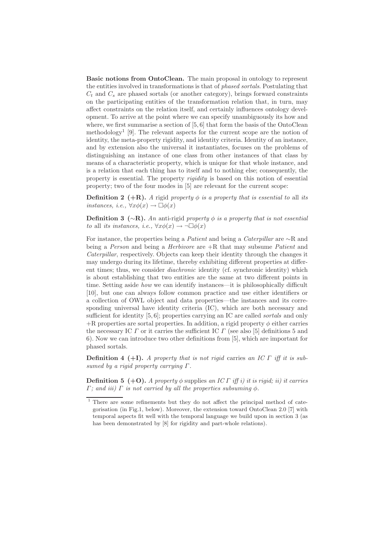Basic notions from OntoClean. The main proposal in ontology to represent the entities involved in transformations is that of *phased sortals*. Postulating that  $C_t$  and  $C_s$  are phased sortals (or another category), brings forward constraints on the participating entities of the transformation relation that, in turn, may affect constraints on the relation itself, and certainly influences ontology development. To arrive at the point where we can specify unambiguously its how and where, we first summarise a section of  $[5, 6]$  that form the basis of the OntoClean methodology<sup>1</sup> [9]. The relevant aspects for the current scope are the notion of identity, the meta-property rigidity, and identity criteria. Identity of an instance, and by extension also the universal it instantiates, focuses on the problems of distinguishing an instance of one class from other instances of that class by means of a characteristic property, which is unique for that whole instance, and is a relation that each thing has to itself and to nothing else; consequently, the property is essential. The property *rigidity* is based on this notion of essential property; two of the four modes in [5] are relevant for the current scope:

**Definition 2** ( $+R$ ). A rigid property  $\phi$  is a property that is essential to all its *instances, i.e.,*  $\forall x \phi(x) \rightarrow \Box \phi(x)$ 

Definition 3 (∼R). *An* anti-rigid *property* φ *is a property that is not essential to* all *its instances, i.e.,*  $\forall x \phi(x) \rightarrow \neg \Box \phi(x)$ 

For instance, the properties being a *Patient* and being a *Caterpillar* are ∼R and being a *Person* and being a *Herbivore* are +R that may subsume *Patient* and *Caterpillar*, respectively. Objects can keep their identity through the changes it may undergo during its lifetime, thereby exhibiting different properties at different times; thus, we consider *diachronic* identity (cf. synchronic identity) which is about establishing that two entities are the same at two different points in time. Setting aside *how* we can identify instances—it is philosophically difficult [10], but one can always follow common practice and use either identifiers or a collection of OWL object and data properties—the instances and its corresponding universal have identity criteria (IC), which are both necessary and sufficient for identity [5, 6]; properties carrying an IC are called *sortals* and only  $+R$  properties are sortal properties. In addition, a rigid property  $\phi$  either carries the necessary IC  $\Gamma$  or it carries the sufficient IC  $\Gamma$  (see also [5] definitions 5 and 6). Now we can introduce two other definitions from [5], which are important for phased sortals.

Definition 4 (+I). *A property that is not rigid* carries *an IC* Γ *iff it is subsumed by a rigid property carrying* Γ*.*

**Definition 5** (+**O**). *A property*  $\phi$  supplies *an IC*  $\Gamma$  *iff i) it is rigid; ii) it carries*  $Γ$ ; and *iii*)  $Γ$  *is not carried by all the properties subsuming*  $φ$ *.* 

<sup>&</sup>lt;sup>1</sup> There are some refinements but they do not affect the principal method of categorisation (in Fig.1, below). Moreover, the extension toward OntoClean 2.0 [7] with temporal aspects fit well with the temporal language we build upon in section 3 (as has been demonstrated by [8] for rigidity and part-whole relations).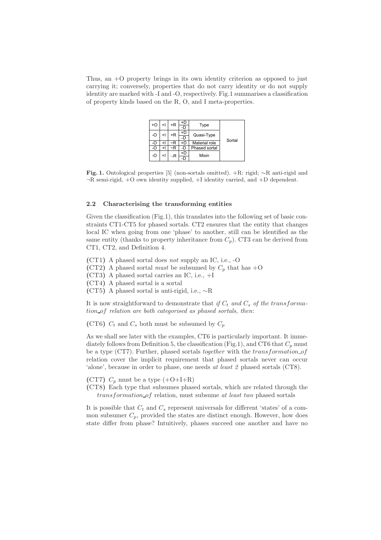Thus, an  $+O$  property brings in its own identity criterion as opposed to just carrying it; conversely, properties that do not carry identity or do not supply identity are marked with -I and -O, respectively. Fig.1 summarises a classification of property kinds based on the R, O, and I meta-properties.

| +O | $+1$   | +R | +D<br>-N | Type          |        |
|----|--------|----|----------|---------------|--------|
| -O | $^{+}$ | +R | +D<br>-D | Quasi-Type    | Sortal |
| -O | +I     | ~R | +D       | Material role |        |
| -0 | +I     | ~к | -D       | Phased sortal |        |
| -O | $+ $   | ۰R | +D<br>ר. | Mixin         |        |

Fig. 1. Ontological properties [5] (non-sortals omitted). +R: rigid; ∼R anti-rigid and  $\neg R$  semi-rigid,  $+O$  own identity supplied,  $+I$  identity carried, and  $+D$  dependent.

#### 2.2 Characterising the transforming entities

Given the classification (Fig.1), this translates into the following set of basic constraints CT1-CT5 for phased sortals. CT2 ensures that the entity that changes local IC when going from one 'phase' to another, still can be identified as the same entity (thanks to property inheritance from  $C_p$ ). CT3 can be derived from CT1, CT2, and Definition 4.

- (CT1) A phased sortal does *not* supply an IC, i.e., -O
- (CT2) A phased sortal *must* be subsumed by  $C_p$  that has  $+O$
- (CT3) A phased sortal carries an IC, i.e., +I
- (CT4) A phased sortal is a sortal
- (CT5) A phased sortal is anti-rigid, i.e., ∼R

It is now straightforward to demonstrate that *if*  $C_t$  *and*  $C_s$  *of the transforma*tion of *relation are both categorised as phased sortals, then*:

(CT6)  $C_t$  and  $C_s$  both must be subsumed by  $C_p$ 

As we shall see later with the examples, CT6 is particularly important. It immediately follows from Definition 5, the classification (Fig.1), and CT6 that  $C_p$  must be a type (CT7). Further, phased sortals *together* with the transformation of relation cover the implicit requirement that phased sortals never can occur 'alone', because in order to phase, one needs *at least 2* phased sortals (CT8).

(CT7)  $C_p$  must be a type  $(+O+I+R)$ 

(CT8) Each type that subsumes phased sortals, which are related through the transformation of relation, must subsume *at least two* phased sortals

It is possible that  $C_t$  and  $C_s$  represent universals for different 'states' of a common subsumer  $C_p$ , provided the states are distinct enough. However, how does state differ from phase? Intuitively, phases succeed one another and have no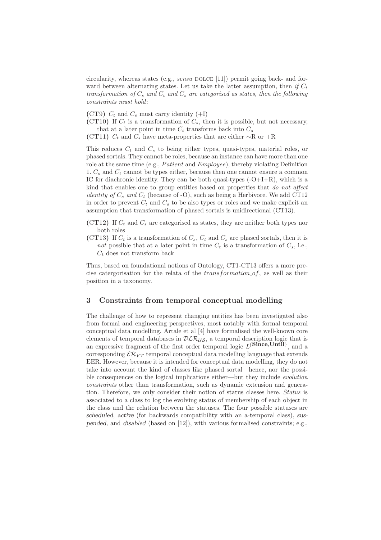circularity, whereas states (e.g.,  $sensu$  DOLCE [11]) permit going back- and forward between alternating states. Let us take the latter assumption, then *if*  $C_t$  $transformation\_of$   $C_s$  and  $C_t$  and  $C_s$  are categorised as states, then the following *constraints must hold*:

(CT9)  $C_t$  and  $C_s$  must carry identity  $(+I)$ 

(CT10) If  $C_t$  is a transformation of  $C_s$ , then it is possible, but not necessary, that at a later point in time  $C_t$  transforms back into  $C_s$ 

(CT11)  $C_t$  and  $C_s$  have meta-properties that are either ∼R or +R

This reduces  $C_t$  and  $C_s$  to being either types, quasi-types, material roles, or phased sortals. They cannot be roles, because an instance can have more than one role at the same time (e.g., Patient and Employee), thereby violating Definition 1.  $C_s$  and  $C_t$  cannot be types either, because then one cannot ensure a common IC for diachronic identity. They can be both quasi-types  $(-O+I+R)$ , which is a kind that enables one to group entities based on properties that *do not affect identity of*  $C_s$  *and*  $C_t$  (because of -O), such as being a Herbivore. We add CT12 in order to prevent  $C_t$  and  $C_s$  to be also types or roles and we make explicit an assumption that transformation of phased sortals is unidirectional (CT13).

(CT12) If  $C_t$  and  $C_s$  are categorised as states, they are neither both types nor both roles

(CT13) If  $C_t$  is a transformation of  $C_s$ ,  $C_t$  and  $C_s$  are phased sortals, then it is *not* possible that at a later point in time  $C_t$  is a transformation of  $C_s$ , i.e.,  $C_t$  does not transform back

Thus, based on foundational notions of Ontology, CT1-CT13 offers a more precise catergorisation for the relata of the transformation of, as well as their position in a taxonomy.

## 3 Constraints from temporal conceptual modelling

The challenge of how to represent changing entities has been investigated also from formal and engineering perspectives, most notably with formal temporal conceptual data modelling. Artale et al [4] have formalised the well-known core elements of temporal databases in  $DLR_{US}$ , a temporal description logic that is an expressive fragment of the first order temporal logic  $L^{\{Since, Until\}}$ , and a corresponding  $\mathcal{ER}_{VT}$  temporal conceptual data modelling language that extends EER. However, because it is intended for conceptual data modelling, they do not take into account the kind of classes like phased sortal—hence, nor the possible consequences on the logical implications either—but they include *evolution constraints* other than transformation, such as dynamic extension and generation. Therefore, we only consider their notion of status classes here. *Status* is associated to a class to log the evolving status of membership of each object in the class and the relation between the statuses. The four possible statuses are scheduled, active (for backwards compatibility with an a-temporal class), suspended, and disabled (based on [12]), with various formalised constraints; e.g.,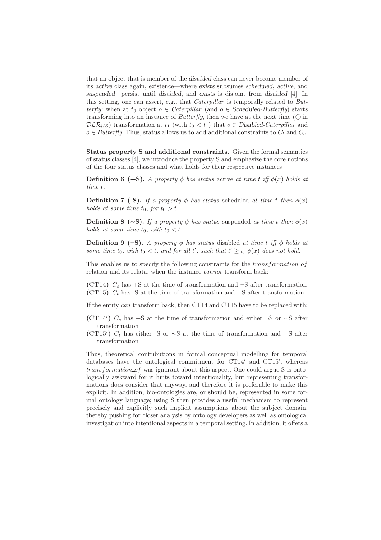that an object that is member of the disabled class can never become member of its active class again, existence—where exists subsumes scheduled, active, and suspended—persist until disabled, and exists is disjoint from disabled [4]. In this setting, one can assert, e.g., that *Caterpillar* is temporally related to *Butterfly*: when at  $t_0$  object  $o \in \text{Caterpillar}$  (and  $o \in \text{Schedaled-Butterfly}$ ) starts transforming into an instance of *Butterfly*, then we have at the next time ( $oplus$  in  $DLR_{US}$ ) transformation at  $t_1$  (with  $t_0 < t_1$ ) that  $o \in D$ isabled-*Caterpillar* and  $o \in Butterfly$ . Thus, status allows us to add additional constraints to  $C_t$  and  $C_s$ .

Status property S and additional constraints. Given the formal semantics of status classes [4], we introduce the property S and emphasize the core notions of the four status classes and what holds for their respective instances:

**Definition 6 (+S).** *A property*  $\phi$  *has status* active *at time t iff*  $\phi(x)$  *holds at time* t*.*

**Definition 7 (-S).** *If a property*  $\phi$  *has status* scheduled *at time t then*  $\phi(x)$ *holds at some time*  $t_0$ *, for*  $t_0 > t$ *.* 

Definition 8 (∼S). *If a property*  $\phi$  *has status* suspended *at time t then*  $\phi(x)$ *holds at some time*  $t_0$ *, with*  $t_0 < t$ *.* 

**Definition 9** ( $\neg$ **S**). *A property*  $\phi$  *has status* disabled *at time t iff*  $\phi$  *holds at* some time  $t_0$ , with  $t_0 < t$ , and for all t', such that  $t' \geq t$ ,  $\phi(x)$  does not hold.

This enables us to specify the following constraints for the transformation of relation and its relata, when the instance *cannot* transform back:

(CT14)  $C_s$  has  $+S$  at the time of transformation and  $\neg S$  after transformation (CT15)  $C_t$  has -S at the time of transformation and  $+$ S after transformation

If the entity *can* transform back, then CT14 and CT15 have to be replaced with:

(CT14′)  $C_s$  has +S at the time of transformation and either ¬S or ∼S after transformation

(CT15′)  $C_t$  has either -S or ∼S at the time of transformation and +S after transformation

Thus, theoretical contributions in formal conceptual modelling for temporal databases have the ontological commitment for CT14′ and CT15′ , whereas transformation of was ignorant about this aspect. One could argue S is ontologically awkward for it hints toward intentionality, but representing transformations does consider that anyway, and therefore it is preferable to make this explicit. In addition, bio-ontologies are, or should be, represented in some formal ontology language; using S then provides a useful mechanism to represent precisely and explicitly such implicit assumptions about the subject domain, thereby pushing for closer analysis by ontology developers as well as ontological investigation into intentional aspects in a temporal setting. In addition, it offers a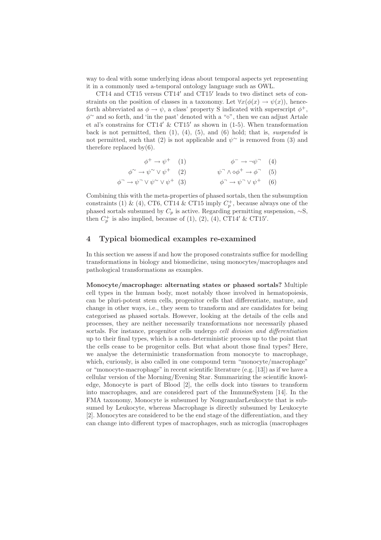way to deal with some underlying ideas about temporal aspects yet representing it in a commonly used a-temporal ontology language such as OWL.

CT14 and CT15 versus CT14′ and CT15′ leads to two distinct sets of constraints on the position of classes in a taxonomy. Let  $\forall x(\phi(x) \rightarrow \psi(x))$ , henceforth abbreviated as  $\phi \to \psi$ , a class' property S indicated with superscript  $\phi^+$ ,  $\phi^{\sim}$  and so forth, and 'in the past' denoted with a " $\diamond$ ", then we can adjust Artale et al's constrains for CT14′ & CT15′ as shown in (1-5). When transformation back is not permitted, then (1), (4), (5), and (6) hold; that is, *suspended* is not permitted, such that (2) is not applicable and  $\psi^{\sim}$  is removed from (3) and therefore replaced by $(6)$ .

$$
\phi^+ \to \psi^+ \quad (1) \qquad \phi^- \to \neg \psi^- \quad (4)
$$
  

$$
\phi^\sim \to \psi^\sim \lor \psi^+ \quad (2) \qquad \psi^- \land \phi \phi^+ \to \phi^- \quad (5)
$$
  

$$
\phi^- \to \psi^- \lor \psi^\sim \lor \psi^+ \quad (3) \qquad \phi^- \to \psi^- \lor \psi^+ \quad (6)
$$

Combining this with the meta-properties of phased sortals, then the subsumption constraints (1) & (4), CT6, CT14 & CT15 imply  $C_p^+$ , because always one of the phased sortals subsumed by  $C_p$  is active. Regarding permitting suspension,  $\sim$ S, then  $C_p^+$  is also implied, because of (1), (2), (4), CT14' & CT15'.

### 4 Typical biomedical examples re-examined

In this section we assess if and how the proposed constraints suffice for modelling transformations in biology and biomedicine, using monocytes/macrophages and pathological transformations as examples.

Monocyte/macrophage: alternating states or phased sortals? Multiple cell types in the human body, most notably those involved in hematopoiesis, can be pluri-potent stem cells, progenitor cells that differentiate, mature, and change in other ways, i.e., they seem to transform and are candidates for being categorised as phased sortals. However, looking at the details of the cells and processes, they are neither necessarily transformations nor necessarily phased sortals. For instance, progenitor cells undergo *cell division and differentiation* up to their final types, which is a non-deterministic process up to the point that the cells cease to be progenitor cells. But what about those final types? Here, we analyse the deterministic transformation from monocyte to macrophage, which, curiously, is also called in one compound term "monocyte/macrophage" or "monocyte-macrophage" in recent scientific literature (e.g. [13]) as if we have a cellular version of the Morning/Evening Star. Summarizing the scientific knowledge, Monocyte is part of Blood [2], the cells dock into tissues to transform into macrophages, and are considered part of the ImmuneSystem [14]. In the FMA taxonomy, Monocyte is subsumed by NongranularLeukocyte that is subsumed by Leukocyte, whereas Macrophage is directly subsumed by Leukocyte [2]. Monocytes are considered to be the end stage of the differentiation, and they can change into different types of macrophages, such as microglia (macrophages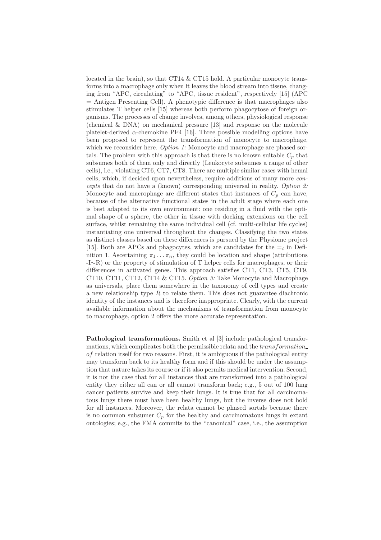located in the brain), so that CT14  $\&$  CT15 hold. A particular monocyte transforms into a macrophage only when it leaves the blood stream into tissue, changing from "APC, circulating" to "APC, tissue resident", respectively [15] (APC = Antigen Presenting Cell). A phenotypic difference is that macrophages also stimulates T helper cells [15] whereas both perform phagocytose of foreign organisms. The processes of change involves, among others, physiological response (chemical & DNA) on mechanical pressure [13] and response on the molecule platelet-derived  $\alpha$ -chemokine PF4 [16]. Three possible modelling options have been proposed to represent the transformation of monocyte to macrophage, which we reconsider here. *Option 1:* Monocyte and macrophage are phased sortals. The problem with this approach is that there is no known suitable  $C_p$  that subsumes both of them only and directly (Leukocyte subsumes a range of other cells), i.e., violating CT6, CT7, CT8. There are multiple similar cases with hemal cells, which, if decided upon nevertheless, require additions of many more *concepts* that do not have a (known) corresponding universal in reality. *Option 2:* Monocyte and macrophage are different states that instances of  $C_p$  can have, because of the alternative functional states in the adult stage where each one is best adapted to its own environment: one residing in a fluid with the optimal shape of a sphere, the other in tissue with docking extensions on the cell surface, whilst remaining the same individual cell (cf. multi-cellular life cycles) instantiating one universal throughout the changes. Classifying the two states as distinct classes based on these differences is pursued by the Physiome project [15]. Both are APCs and phagocytes, which are candidates for the  $=_i$  in Definition 1. Ascertaining  $\pi_1 \dots \pi_n$ , they could be location and shape (attributions -I∼R) or the property of stimulation of T helper cells for macrophages, or their differences in activated genes. This approach satisfies CT1, CT3, CT5, CT9, CT10, CT11, CT12, CT14 & CT15. *Option 3:* Take Monocyte and Macrophage as universals, place them somewhere in the taxonomy of cell types and create a new relationship type  $R$  to relate them. This does not guarantee diachronic identity of the instances and is therefore inappropriate. Clearly, with the current available information about the mechanisms of transformation from monocyte to macrophage, option 2 offers the more accurate representation.

Pathological transformations. Smith et al [3] include pathological transformations, which complicates both the permissible relata and the transformation of relation itself for two reasons. First, it is ambiguous if the pathological entity may transform back to its healthy form and if this should be under the assumption that nature takes its course or if it also permits medical intervention. Second, it is not the case that for all instances that are transformed into a pathological entity they either all can or all cannot transform back; e.g., 5 out of 100 lung cancer patients survive and keep their lungs. It is true that for all carcinomatous lungs there must have been healthy lungs, but the inverse does not hold for all instances. Moreover, the relata cannot be phased sortals because there is no common subsumer  $C_p$  for the healthy and carcinomatous lungs in extant ontologies; e.g., the FMA commits to the "canonical" case, i.e., the assumption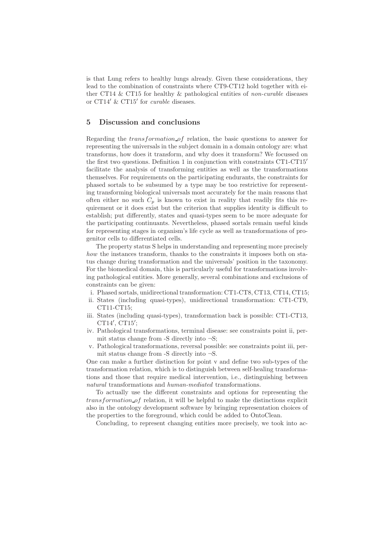is that Lung refers to healthy lungs already. Given these considerations, they lead to the combination of constraints where CT9-CT12 hold together with either CT14 & CT15 for healthy & pathological entities of *non-curable* diseases or CT14′ & CT15′ for *curable* diseases.

# 5 Discussion and conclusions

Regarding the transformation of relation, the basic questions to answer for representing the universals in the subject domain in a domain ontology are: what transforms, how does it transform, and why does it transform? We focussed on the first two questions. Definition 1 in conjunction with constraints CT1-CT15′ facilitate the analysis of transforming entities as well as the transformations themselves. For requirements on the participating endurants, the constraints for phased sortals to be subsumed by a type may be too restrictive for representing transforming biological universals most accurately for the main reasons that often either no such  $C_p$  is known to exist in reality that readily fits this requirement or it does exist but the criterion that supplies identity is difficult to establish; put differently, states and quasi-types seem to be more adequate for the participating continuants. Nevertheless, phased sortals remain useful kinds for representing stages in organism's life cycle as well as transformations of progenitor cells to differentiated cells.

The property status S helps in understanding and representing more precisely *how* the instances transform, thanks to the constraints it imposes both on status change during transformation and the universals' position in the taxonomy. For the biomedical domain, this is particularly useful for transformations involving pathological entities. More generally, several combinations and exclusions of constraints can be given:

- i. Phased sortals, unidirectional transformation: CT1-CT8, CT13, CT14, CT15;
- ii. States (including quasi-types), unidirectional transformation: CT1-CT9, CT11-CT15;
- iii. States (including quasi-types), transformation back is possible: CT1-CT13, CT14′ , CT15′ ;
- iv. Pathological transformations, terminal disease: see constraints point ii, permit status change from  $-S$  directly into  $\neg S$ ;
- v. Pathological transformations, reversal possible: see constraints point iii, permit status change from -S directly into ¬S.

One can make a further distinction for point v and define two sub-types of the transformation relation, which is to distinguish between self-healing transformations and those that require medical intervention, i.e., distinguishing between *natural* transformations and *human-mediated* transformations.

To actually use the different constraints and options for representing the transformation of relation, it will be helpful to make the distinctions explicit also in the ontology development software by bringing representation choices of the properties to the foreground, which could be added to OntoClean.

Concluding, to represent changing entities more precisely, we took into ac-